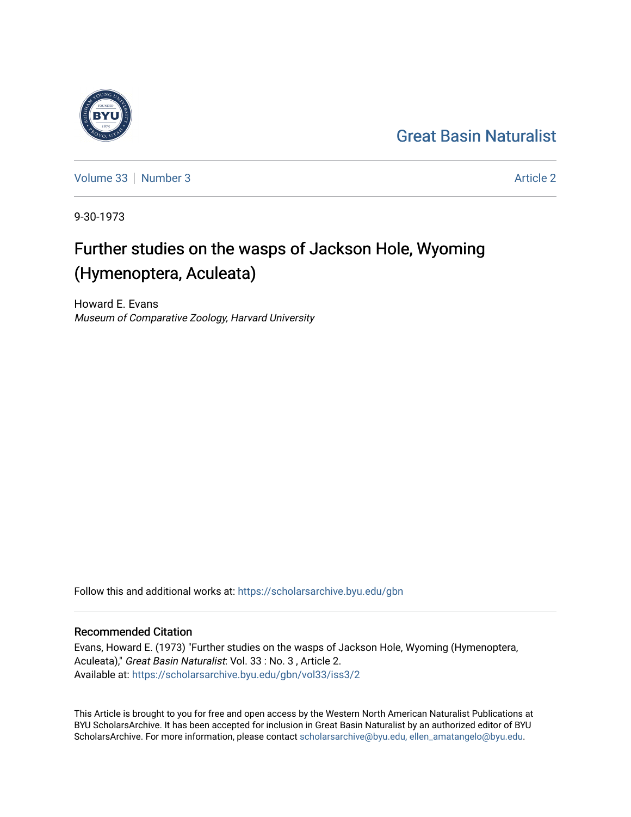## [Great Basin Naturalist](https://scholarsarchive.byu.edu/gbn)



[Volume 33](https://scholarsarchive.byu.edu/gbn/vol33) [Number 3](https://scholarsarchive.byu.edu/gbn/vol33/iss3) [Article 2](https://scholarsarchive.byu.edu/gbn/vol33/iss3/2) Article 2 Article 2 Article 2 Article 2 Article 2 Article 2

9-30-1973

# Further studies on the wasps of Jackson Hole, Wyoming (Hymenoptera, Aculeata)

Howard E. Evans Museum of Comparative Zoology, Harvard University

Follow this and additional works at: [https://scholarsarchive.byu.edu/gbn](https://scholarsarchive.byu.edu/gbn?utm_source=scholarsarchive.byu.edu%2Fgbn%2Fvol33%2Fiss3%2F2&utm_medium=PDF&utm_campaign=PDFCoverPages) 

## Recommended Citation

Evans, Howard E. (1973) "Further studies on the wasps of Jackson Hole, Wyoming (Hymenoptera, Aculeata)," Great Basin Naturalist: Vol. 33 : No. 3 , Article 2. Available at: [https://scholarsarchive.byu.edu/gbn/vol33/iss3/2](https://scholarsarchive.byu.edu/gbn/vol33/iss3/2?utm_source=scholarsarchive.byu.edu%2Fgbn%2Fvol33%2Fiss3%2F2&utm_medium=PDF&utm_campaign=PDFCoverPages)

This Article is brought to you for free and open access by the Western North American Naturalist Publications at BYU ScholarsArchive. It has been accepted for inclusion in Great Basin Naturalist by an authorized editor of BYU ScholarsArchive. For more information, please contact [scholarsarchive@byu.edu, ellen\\_amatangelo@byu.edu.](mailto:scholarsarchive@byu.edu,%20ellen_amatangelo@byu.edu)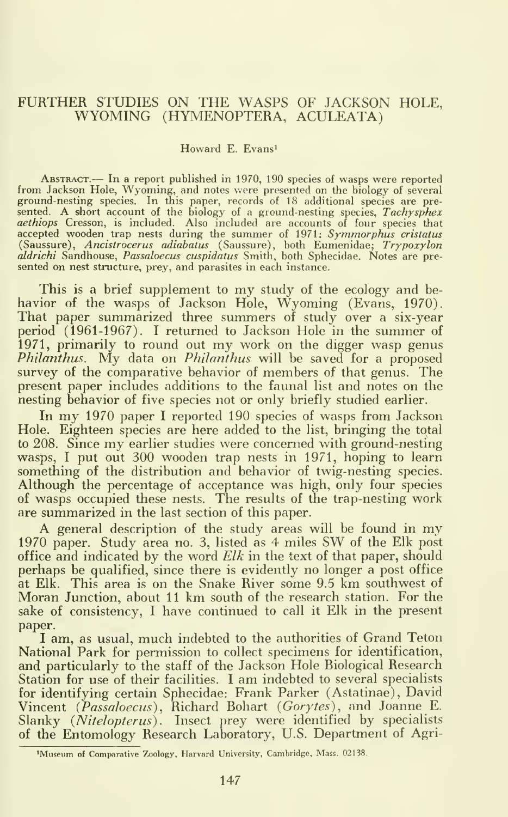## FURTHER STUDIES ON THE WASPS OF JACKSON HOLE, WYOMING (HYMENOPTERA, ACULEATA)

#### Howard E. Evans^

Abstract.— In <sup>a</sup> report published in 1970, <sup>190</sup> species of wasps were reported from Jackson Hole, Wyoming, and notes were presented on the biology of several ground-nesting species. In this paper, records of 18 additional species are presented. A short account of the biology of a ground-nesting species, *Tachysphex* acthiops Cresson, is included. Also included are accounts of sented on nest structure, prey, and parasites in each instance.

This is a brief supplement to my study of the ecology and behavior of the wasps of Jackson Hole, Wyoming (Evans, 1970). That paper summarized three summers of study over a six-year period (1961-1967). <sup>I</sup> returned to Jackson Hole in the summer of 1971, primarily to round out my work on the digger wasp genus Philanthus. My data on Philanthus will be saved for a proposed survey of the comparative behavior of members of that genus. The present paper includes additions to the faunal list and notes on the nesting behavior of five species not or only briefly studied earlier.

In my <sup>1970</sup> paper <sup>I</sup> reported <sup>190</sup> species of wasps from Jackson Hole. Eighteen species are here added to the list, bringing the total to 208. Since my earlier studies were concerned with ground-nesting wasps, <sup>I</sup> put out 300 wooden trap nests in 1971, hoping to learn something of the distribution and behavior of twig-nesting species. Although the percentage of acceptance was high, only four species of wasps occupied these nests. The results of the trap-nesting work are summarized in the last section of this paper.

A general description of the study areas will be found in my <sup>1970</sup> paper. Study area no. 3, listed as <sup>4</sup> miles SW of the Elk post office and indicated by the word  $Elk$  in the text of that paper, should perhaps be qualified, since there is evidently no longer a post office at Elk. This area is on the Snake River some 9.5 km southwest of Moran Junction, about 11 km south of the research station. For the sake of consistency, <sup>I</sup> have continued to call it Elk in the present paper.

<sup>I</sup> am, as usual, much indebted to the authorities of Grand Teton National Park for permission to collect specimens for identification, and particularly to the staff of the Jackson Hole Biological Research Station for use of their facilities. I am indebted to several specialists for identifying certain Sphecidae: Frank Parker (Astatinae), David Vincent (Passaloecus), Richard Bohart (Gorytes), and Joanne E. Slanky (Nitelopterus). Insect prey were identified by specialists of the Entomology Research Laboratory, U.S. Department of Agri-

<sup>&</sup>lt;sup>1</sup>Museum of Comparative Zoology, Harvard University, Cambridge, Mass. 02138.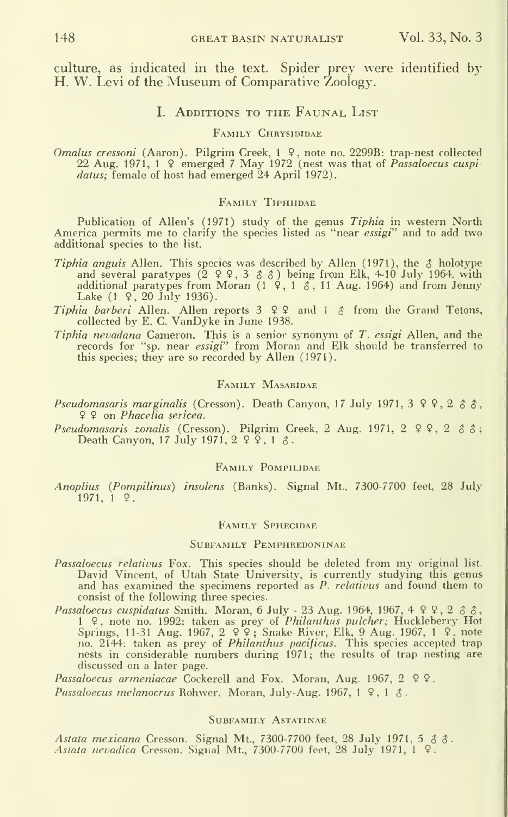culture, as indicated in the text. Spider prey were identified by H. W. Levi of the Museum of Comparative Zoology.

#### I. ADDITIONS TO THE FAUNAL LIST

#### FAMILY CHRYSIDIDAE

Omalus cressoni (Aaron). Pilgrim Creek, 1 <sup>9</sup>, note no. 2299B: trap-nest collected 22 Aug. 1971, 1 <sup>9</sup> emerged 7 May 1972 (nest was that of *Passaloecus cuspidatus*; female of host had emerged 24 April 1972).

#### Family Tiphiidae

Publication of Allen's (1971) study of the genus Tiphia in western North America permits me to clarify the species listed as "near *essigi*" and to add two additional species to the list.

- Tiphia anguis Allen. This species was described by Allen (1971), the  $\delta$  holotype and several paratypes (2 9 9, 3  $\delta$   $\delta$ ) being from Elk, 4-10 July 1964, with additional paratypes from Moran  $(1 \times 1 \times 1)$ , 11 Aug. 1964) and from Jenny Lake  $(1 \, \hat{9} \, , \, 20 \, \text{July} \, 1936)$ .
- Tiphia barberi Allen. Allen reports 3 9 9 and <sup>1</sup> 5 from the Grand Tetons, collected by E. C. VanDyke in June 1938.
- Tiphia nevadana Cameron. This is a senior synonym of T. essigi Allen, and the records for "sp. near essigi" from Moran and Elk should be transferred to this species; they are so recorded by Allen (1971).

#### Family Masaridae

- Pseudomasaris marginalis (Cresson). Death Canyon, 17 July 1971,  $3 \times 2 \times 3 \times$ , 9 9 on Phacelia sericea.
- Pseudomasaris zonalis (Cresson). Pilgrim Creek, 2 Aug. 1971,  $2 \varphi$ ,  $2 \varphi$ ,  $3 \varphi$ ; Death Canyon, 17 July 1971,  $2 \frac{9}{5}$ , 1  $3$ .

#### Family Pompilidae

Anoplius (Pompilinus) insolens (Banks). Signal Mt., 7300-7700 feet, 28 July  $1971, 19.$ 

#### Family Sphecidae

#### Subfamily Pemphredoninae

- Passaloecus relativus Fox. This species should be deleted from my original list. David Vincent, of Utah State University, is currently studying this genus and has examined the specimens reported as *P. relativus* and found them to consist of the following three species.
- *Passaloecus cuspidatus* Smith. Moran, 6 July 23 Aug. 1964, 1967, 4 9 9, 2 8 8, 1 ♀, note no. 1992: taken as prey of *Philanthus pulcher*; Huckleberry Hot<br>Springs, 11-31 Aug. 1967, 2 ♀♀; Snake River, Elk, 9 Aug. 1967, 1 ♀, note<br>no. 2144: taken as prey of *Philanthus pacificus*. This species accepted t nests in considerable numbers during 1971; the results of trap nesting are discussed on a later page.

Passaloecus armeniacae Cockerell and Fox. Moran, Aug. 1967, 2 9 9. Passaloecus melanocrus Rohwer. Moran, July-Aug. 1967, 1  $9$ , 1  $3$ .

#### Subfamily Astatinae

Astata mexicana Cresson. Signal Mt., 7300-7700 feet, 28 July 1971, 5 & &. Aslata nevadica Cresson. Signal Mt., 7300-7700 feet, 28 July 1971, <sup>1</sup> 9.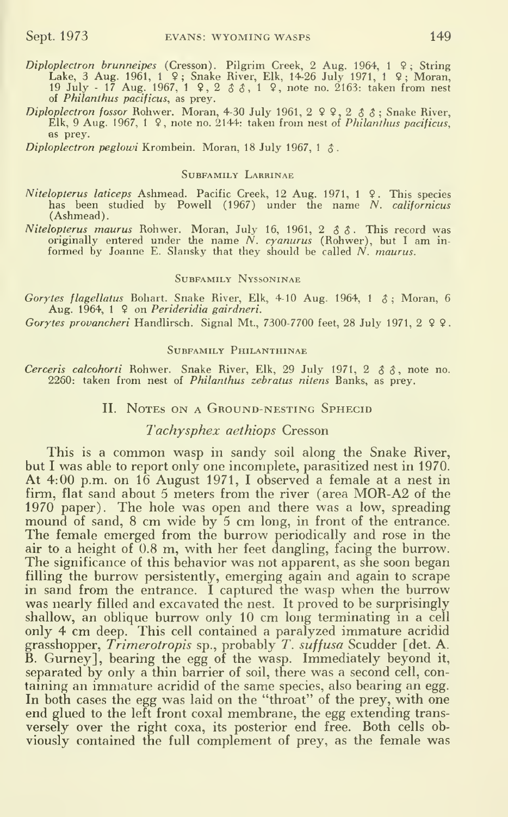- Diploplectron brunneipes (Cresson). Pilgrim Creek, 2 Aug. 1964, 1 9; String<br>Lake, 3 Aug. 1961, 1 9; Snake River, Elk, 14-26 July 1971, 1 9; Moran, 19 July - 17 Aug. 1967, <sup>1</sup> 9, 2 5 5, <sup>1</sup> ?, note no. 2163: taken from nest of Philanthus pacificus, as prey.
- Diploplectron fossor Rohwer. Moran, 4-30 July 1961,  $2 \times 2 \times 3 \times 5$ ; Snake River, Elk, 9 Aug. 1967, 1  $\Omega$ , note no. 2144: taken from nest of *Philanthus pacificus*, as prey.

Diploplectron peglowi Krombein. Moran, 18 July 1967, 1  $\Lambda$ .

#### SUBFAMILY LABRINAE

- Nitelopterus laticeps Ashmead. Pacific Creek, 12 Aug. 1971, <sup>1</sup> 9. This species has been studied by Powell (1967) under the name N. californicus (Ashmead).
- *Nitelopterus maurus* Rohwer. Moran, July 16, 1961, 2  $\delta \delta$ . This record was originally entered under the name N. cyanurus (Rohwer), but I am informed by Joanne E. Slansky that they should be called  $N$ , maurus.

#### Subfamily Nyssoninae

Gorytes flagellatus Bohart. Snake River, Elk, 4-10 Aug. 1964, 1  $\hat{\sigma}$ : Moran, 6 Aug. 1964, <sup>1</sup> 9 on Perideridia gairdneri.

Gorytes provancheri Handlirsch. Signal Mt., 7300-7700 feet, 28 July 1971, 2  $99$ .

#### Subfamily Philanthinae

Cerceris calcohorti Rohwer. Snake River, Elk, 29 July 1971, 2  $\delta \delta$ , note no. 2260: taken from nest of *Philanthus zebratus nitens* Banks, as prey.

#### II. NOTES ON A GROUND-NESTING SPHECID

## Tachysphex aethiops Cresson

This is <sup>a</sup> common wasp in sandy soil along the Snake River, but <sup>I</sup> was able to report only one incomplete, parasitized nest in 1970. At 4:00 p.m. on 16 August 1971, <sup>I</sup> observed a female at a nest in firm, flat sand about <sup>5</sup> meters from the river (area M0R-A2 of the  $1970$  paper). The hole was open and there was a low, spreading mound of sand, 8 cm wide by 5 cm long, in front of the entrance.<br>The female emerged from the burrow periodically and rose in the air to a height of 0.8 m, with her feet dangling, facing the burrow. The significance of this behavior was not apparent, as she soon began filling the burrow persistently, emerging again and again to scrape in sand from the entrance. I captured the wasp when the burrow was nearly filled and excavated the nest. It proved to be surprisingly shallow, an oblique burrow only 10 cm long terminating in <sup>a</sup> cell only 4 cm deep. This cell contained a paralyzed immature acridid grasshopper, Trimerotropis sp., probably T. suffusa Scudder [det. A. B. Gumey], bearing the egg of the wasp. Immediately beyond it, separated by only a thin barrier of soil, there was a second cell, con taining an immature acridid of the same species, also bearing an egg. In both cases the egg was laid on the "throat" of the prey, with one end glued to the left front coxal membrane, the egg extending trans versely over the right coxa, its posterior end free. Both cells obviously contained the full complement of prey, as the female was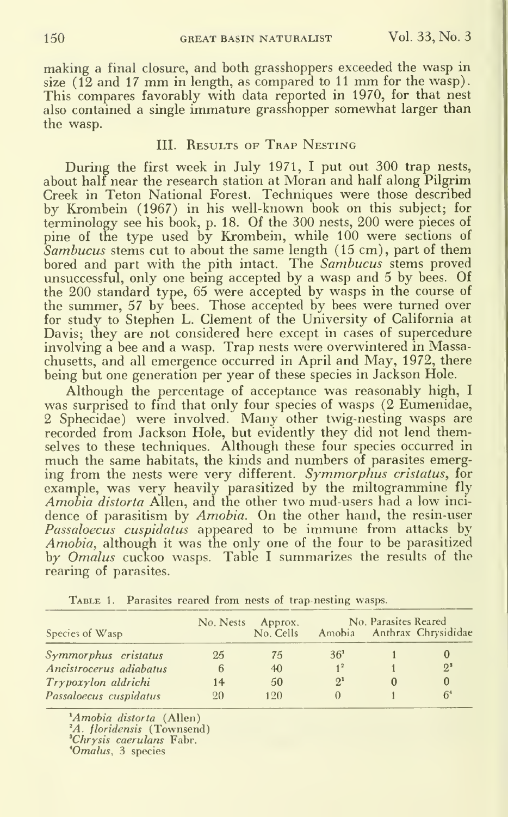making a final closure, and both grasshoppers exceeded the wasp in size (12 and <sup>17</sup> mm in length, as compared to <sup>11</sup> mm for the wasp). This compares favorably with data reported in 1970, for that nest also contained a single immature grasshopper somewhat larger than the wasp.

## III. RESULTS OF TRAP NESTING

During the first week in July 1971, <sup>I</sup> put out 300 trap nests, about half near the research station at Moran and half along Pilgrim Creek in Teton National Forest. Techniques were those described by Krombein (1967) in his well-known book on this subject; for terminology see his book, p. 18. Of the 300 nests, 200 were pieces of pine of the type used by Krombein, while 100 were sections of Sambucus stems cut to about the same length (15 cm), part of them bored and part with the pith intact. The Sambucus stems proved unsuccessful, only one being accepted by a wasp and 5 by bees. Of the 200 standard type, 65 were accepted by wasps in the course of the summer, 57 by bees. Those accepted by bees were turned over for study to Stephen L. Clement of the University of California at Davis; they are not considered here except in cases of supercedure involving a bee and a wasp. Trap nests were overwintered in Massachusetts, and all emergence occurred in April and May, 1972, there being but one generation per year of these species in Jackson Hole.

Although the percentage of acceptance was reasonably high, <sup>I</sup> was surprised to find that only four species of wasps (2 Eumenidae, 2 Sphecidae) were involved. Many other twig-nesting wasps are recorded from Jackson Hole, but evidently they did not lend themselves to these techniques. Although these four species occurred in much the same habitats, the kinds and numbers of parasites emerging from the nests were very different. Symmorphus cristatus, for example, was very heavily parasitized by the miltogrammine fly Amobia distorta Allen, and the other two mud-users had a low inci dence of parasitism by *Amobia*. On the other hand, the resin-user Passaloecus cuspidatus appeared to be immune from attacks by the  $\blacksquare$ Amobia, although it was the only one of the four to be parasitized by *Omalus* cuckoo wasps. Table I summarizes the results of the rearing of parasites.

| Species of Wasp             | No. Nests | Approx.<br>No. Cells | No. Parasites Reared<br>Amobia Anthrax Chrysididae |  |       |
|-----------------------------|-----------|----------------------|----------------------------------------------------|--|-------|
| <i>Symmorphus</i> cristatus | 25        | 75                   | 36 <sup>1</sup>                                    |  |       |
| Ancistrocerus adiabatus     | 6         | 40                   |                                                    |  | $2^3$ |
| Trypoxylon aldrichi         | 14        | 50                   | $2^{1}$                                            |  |       |
| Passaloecus cuspidatus      | 20        | 120                  |                                                    |  |       |

TABLE 1. Parasites reared from nests of trap-nesting wasps.

<sup>\*</sup>Amobia distorta (Allen)

<sup>2</sup>A. floridensis (Townsend)

'Chrysis caerulans Fabr.

\*Omalus, 3 species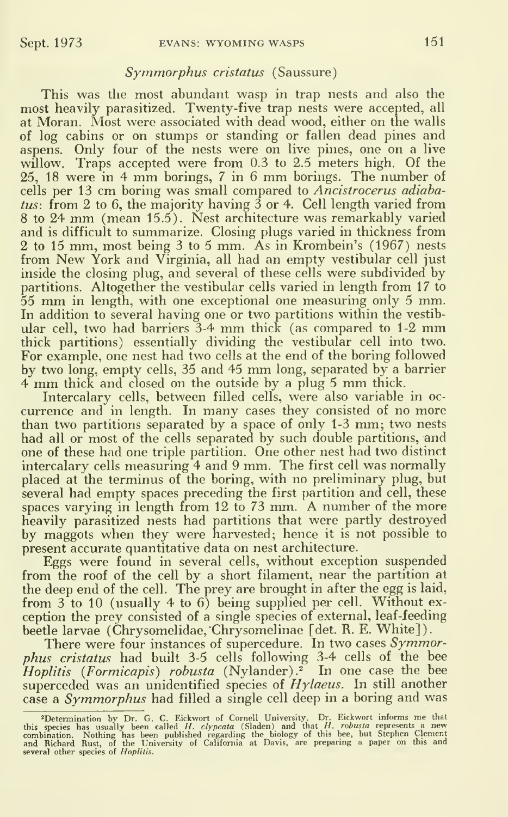## Symmorphus cristatus (Saussure)

This was the most abundant wasp in trap nests and also the most heavily parasitized. Twenty-five trap nests were accepted, all at Moran. Most were associated with dead wood, either on the walls of log cabins or on stumps or standing or fallen dead pines and aspens. Only four of the nests were on live pines, one on a live willow. Traps accepted were from 0.3 to 2.5 meters high. Of the 25, <sup>18</sup> were in <sup>4</sup> mm borings, <sup>7</sup> in <sup>6</sup> mm borings. The number of cells per 13 cm boring was small compared to Ancistrocerus adiabatus: from 2 to 6, the majority having  $\overline{3}$  or 4. Cell length varied from <sup>8</sup> to <sup>24</sup> mm (mean 15.5). Nest architecture was remarkably varied and is difficult to summarize. Closing plugs varied in thickness from 2 to 15 mm, most being 3 to 5 mm. As in Krombein's (1967) nests from New York and Virginia, all had an empty vestibular cell just inside the closing plug, and several of these cells were subdivided by partitions. Altogether the vestibular cells varied in length from 17 to <sup>55</sup> mm in length, with one exceptional one measuring only <sup>5</sup> mm. In addition to several having one or two partitions within the vestibular cell, two had barriers 3-4 mm thick (as compared to 1-2 mm thick partitions) essentially dividing the vestibular cell into two. For example, one nest had two cells at the end of the boring followed by two long, empty cells, <sup>35</sup> and <sup>45</sup> mm long, separated by <sup>a</sup> barrier <sup>4</sup> mm thick and closed on the outside by <sup>a</sup> plug <sup>5</sup> mm thick.

Intercalary cells, between filled cells, were also variable in oc currence and in length. In many cases they consisted of no more than two partitions separated by <sup>a</sup> space of only 1-3 mm; two nests had all or most of the cells separated by such double partitions, and one of these had one triple partition. One other nest had two distinct intercalary cells measuring 4 and 9 mm. The first cell was normally placed at the terminus of the boring, with no preliminary plug, but several had empty spaces preceding the first partition and cell, these spaces varying in length from 12 to 73 mm. A number of the more heavily parasitized nests had partitions that were partly destroyed by maggots when they were harvested; hence it is not possible to present accurate quantitative data on nest architecture.

Eggs were found in several cells, without exception suspended from the roof of the cell by a short filament, near the partition at the deep end of the cell. The prey are brought in after the egg is laid, from  $3$  to 10 (usually 4 to 6) being supplied per cell. Without exception the prey consisted of a single species of external, leaf-feeding beetle larvae (Chrysomelidae, Chrysomelinae [det. R. E. White]).

There were four instances of supercedure. In two cases Symmorphus cristatus had built 3-5 cells following 3-4 cells of the bee  $Hoplitis$  (Formicapis) robusta (Nylander). $^2$  In one case the bee superceded was an unidentified species of  $Hylaeus$ . In still another case a *Symmorphus* had filled a single cell deep in a boring and was

<sup>&</sup>lt;sup>2</sup>Determination by Dr. G. C. Eickwort of Cornell University. Dr. Eickwort informs me that this species has usually been called  $H$ . *clypeata* (Sladen) and that  $H$ . *robusta* represents a new combination. Nothing has be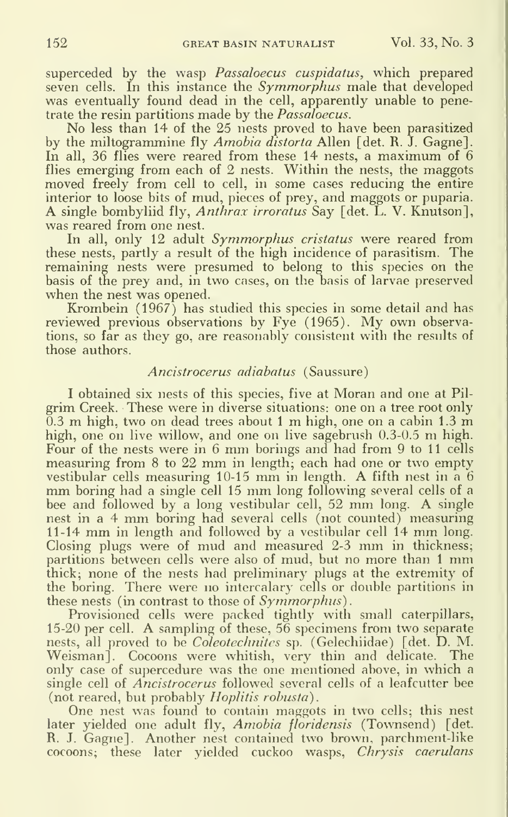superceded by the wasp *Passaloecus cuspidatus*, which prepared seven cells. In this instance the *Symmorphus* male that developed was eventually found dead in the cell, apparently unable to penetrate the resin partitions made by the *Passaloecus*.

No less than 14 of the 25 nests proved to have been parasitized by the miltogrammine fly Amobia distorta Allen [det. R. J. Gagne]. In all, 36 flies were reared from these 14 nests, a maximum of 6 flies emerging from each of 2 nests. Within the nests, the maggots moved freely from cell to cell, in some cases reducing the entire interior to loose bits of mud, pieces of prey, and maggots or puparia. A single bombyliid fly. Anthrax irroratus Say [det. L. V. Knutson], was reared from one nest.

In all, only 12 adult Symmorphus cristatus were reared from these nests, partly a result of the high incidence of parasitism. The remaining nests were presumed to belong to this species on the basis of the prey and, in two cases, on the basis of larvae preserved when the nest was opened.

Krombein (1967) has studied this species in some detail and has reviewed previous observations by Fye (1965). My own observations, so far as they go, are reasonably consistent with the results of those authors.

## Ancistrocerus adiabatus (Saussure)

<sup>I</sup> obtained six nests of this species, five at Moran and one at Pil grim Creek. These were in diverse situations: one on a tree root only 0.3 m high, two on dead trees about <sup>1</sup> m high, one on <sup>a</sup> cabin 1.3 m high, one on live willow, and one on live sagebrush 0.3-0.5 m high. Four of the nests were in <sup>6</sup> mm borings and had from <sup>9</sup> to <sup>11</sup> cells measuring from <sup>8</sup> to <sup>22</sup> mm in length; each had one or two empty vestibular cells measuring 10-15 mm in length. A fifth nest in <sup>a</sup> <sup>6</sup> mm boring had <sup>a</sup> single cell <sup>15</sup> mm long following several cells of <sup>a</sup> bee and followed by <sup>a</sup> long vestibular cell, <sup>52</sup> mm long. A single nest in <sup>a</sup> <sup>4</sup> mm boring had several cells (not counted) measuring 11-14 mm in length and followed by <sup>a</sup> vestibular cell <sup>14</sup> mm long. Closing plugs were of mud and measured 2-3 mm in thickness; partitions between cells were also of mud, but no more than <sup>1</sup> mm thick; none of the nests had preliminary plugs at the extremity of the boring. There were no intercalary cells or double partitions in these nests (in contrast to those of  $Symmorphus$ ).

Provisioned cells were packed tightly with small caterpillars, 15-20 per cell. A sampling of these, <sup>56</sup> specimens from two separate nests, all proved to be *Coleotechnites* sp. (Gelechiidae) [det. D. M. Weisman]. Cocoons were whitish, very thin and delicate. The only case of supercedure was the one mentioned above, in which a single cell of *Ancistrocerus* followed several cells of a leafcutter bee (not reared, but probably Hoplitis robusta).

One nest was found to contain maggots in two cells; this nest later yielded one adult fly, Amobia floridensis (Townsend) [det. R. J. Gagne]. Another nest contained two brown, parchment-like cocoons; these later yielded cuckoo wasps, Chrysis caerulans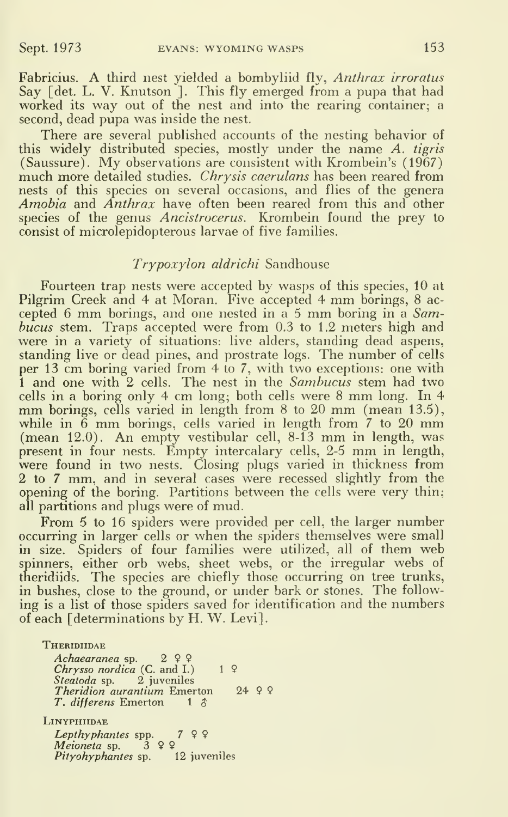Fabricius. A third nest yielded a bombyliid fly, Anthrax irroratus Say [det. L. V. Knutson<sup>]</sup>. This fly emerged from a pupa that had worked its way out of the nest and into the rearing container; <sup>a</sup> second, dead pupa was inside the nest.

There are several published accounts of the nesting behavior of this widely distributed species, mostly under the name A. tigris (Saussure). My observations are consistent with Krombein's (1967) much more detailed studies. *Chrysis caerulans* has been reared from nests of this species on several occasions, and flies of the genera Amobia and Anthrax have often been reared from this and other species of the genus Ancistrocerus. Krombein found the prey to consist of microlepidopterous larvae of five families.

#### Trypoxylon aldrichi Sandhouse

Fourteen trap nests were accepted by wasps of this species, 10 at Pilgrim Creek and 4 at Moran. Five accepted 4 mm borings, 8 accepted 6 mm borings, and one nested in a 5 mm boring in a  $Sam$ bucus stem. Traps accepted were from 0.3 to 1.2 meters high and were in a variety of situations: live alders, standing dead aspens, standing live or dead pines, and prostrate logs. The number of cells per 13 cm boring varied from 4 to 7, with two exceptions: one with 1 and one with 2 cells. The nest in the Sambucus stem had two cells in <sup>a</sup> boring only <sup>4</sup> cm long; both cells were <sup>8</sup> mm long. In <sup>4</sup> mm borings, cells varied in length from 8 to 20 mm (mean 13.5), while in  $\ddot{6}$  mm borings, cells varied in length from  $\ddot{7}$  to 20 mm (mean 12.0). An empty vestibular cell, 8-13 mm in length, was present in four nests. Empty intercalary cells, 2-5 mm in length, were found in two nests. Closing plugs varied in thickness from 2 to 7 mm, and in several cases were recessed slightly from the opening of the boring. Partitions between the cells were very thin; all partitions and plugs were of mud.

From <sup>5</sup> to 16 spiders were provided per cell, the larger number occurring in larger cells or when the spiders themselves were small in size. Spiders of four families were utilized, all of them web spinners, either orb webs, sheet webs, or the irregular webs of theridiids. The species are chiefly those occurring on tree trunks, in bushes, close to the ground, or under bark or stones. The following is a list of those spiders saved for identification and the numbers of each [determinations by H. W. Levi].

**THERIDIIDAE** Achaearanea sp. 2 <del>2</del> <del>9</del><br>Chrysso nordica (C. and I.) 1 <del>9</del> Steatoda sp. 2 juveniles Theridion aurantium Emerton 24 9 9 T. differens Emerton  $1 \text{ } \text{\&}$ LiNYPHIIDAE Lepthyphantes spp. 3799<br>Meioneta sp. 399 Pityohyphantes sp. 12 juveniles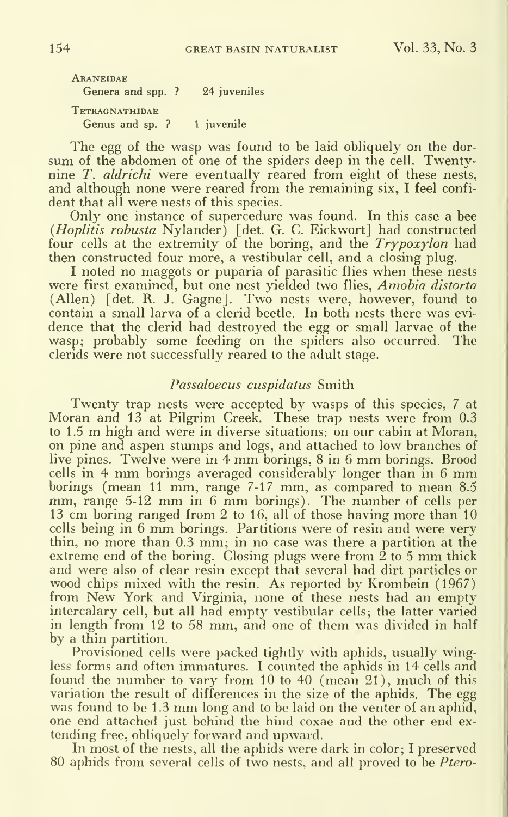Araneidae Genera and spp. ? 24 juveniles TETRAGNATHIDAE Genus and sp. ? 1 juvenile

The egg of the wasp was found to be laid obliquely on the dorsum of the abdomen of one of the spiders deep in the cell. Twentynine T. aldrichi were eventually reared from eight of these nests, and although none were reared from the remaining six, <sup>I</sup> feel confident that all were nests of this species.

Only one instance of supercedure was found. In this case a bee {Hoplitis robusta Nylander) [det. G. C. Eickwort] had constructed four cells at the extremity of the boring, and the Trypoxylon had then constructed four more, a vestibular cell, and a closing plug.

<sup>I</sup> noted no maggots or puparia of parasitic flies when these nests were first examined, but one nest vielded two flies, Amobia distorta (Allen) [det. R. J. Gagne]. Two nests were, however, found to contain a small larva of a clerid beetle. In both nests there was evidence that the clerid had destroyed the egg or small larvae of the wasp; probably some feeding on the spiders also occurred. The clerids were not successfully reared to the adult stage.

#### Passaloecus cuspidatus Smith

Twenty trap nests were accepted by wasps of this species, 7 at Moran and 13 at Pilgrim Creek. These trap nests were from 0.3 to 1.5 m high and were in diverse situations: on our cabin at Moran, on pine and aspen stumps and logs, and attached to low branches of live pines. Twelve were in <sup>4</sup> mm borings, <sup>8</sup> in <sup>6</sup> mm borings. Brood cells in 4 mm borings averaged considerably longer than in 6 mm<br>borings (mean 11 mm, range 7-17 mm, as compared to mean 8.5 mm, range 5-12 mm in 6 mm borings). The number of cells per 13 cm boring ranged from 2 to 16, all of those having more than 10 cells being in <sup>6</sup> mm borings. Partitions were of resin and were very thin, no more than 0.3 mm; in no case was there <sup>a</sup> partition at the extreme end of the boring. Closing plugs were from  $\dot{2}$  to 5 mm thick and were also of clear resin except that several had dirt particles or wood chips mixed with the resin. As reported by Krombein (1967) from New York and Virginia, none of these nests had an empty intercalary cell, but all had empty vestibular cells; the latter varied in length from 12 to 58 mm, and one of them was divided in half by a thin partition.

Provisioned cells were packed tightly with aphids, usually wingless forms and often immatures. <sup>I</sup> counted the aphids in 14 cells and found the number to vary from 10 to 40 (mean 21), much of this variation the result of differences in the size of the aphids. The egg was found to be 1.3 mm long and to be laid on the venter of an aphid, one end attached just behind the hind coxae and the other end extending free, obliquely forward and upward.

In most of the nests, all the aphids were dark in color; <sup>I</sup> preserved 80 aphids from several cells of two nests, and all proved to be *Ptero-*